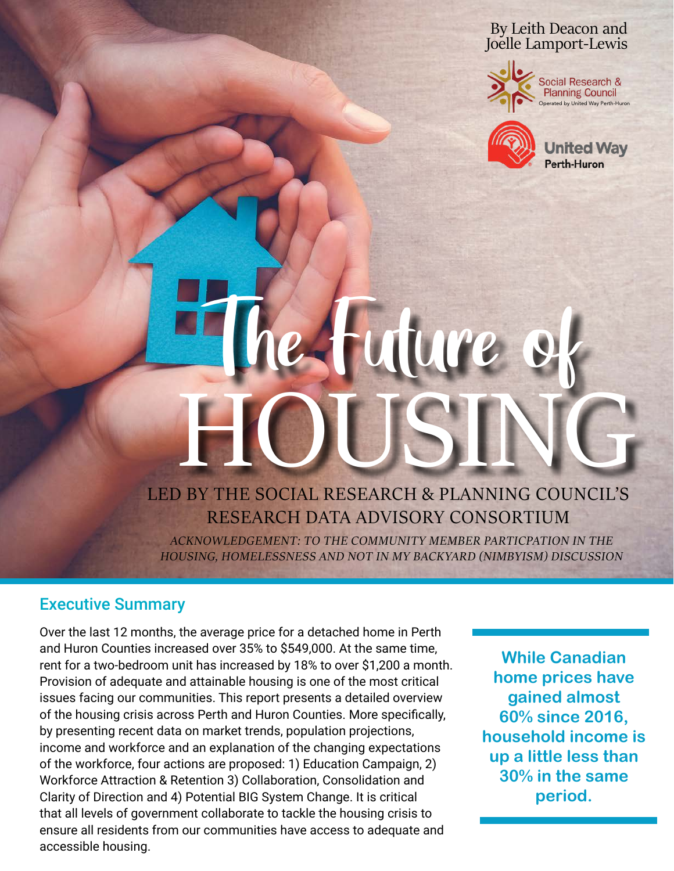### By Leith Deacon and Joelle Lamport-Lewis



Social Research & **Planning Council** Operated by United Way Perth-Huron



ited Wav Perth-Huron

# 24 Tuture LED BY THE SOCIAL RESEARCH & PLANNING COUNCIL'S HOUSING

RESEARCH DATA ADVISORY CONSORTIUM

ACKNOWLEDGEMENT: TO THE COMMUNITY MEMBER PARTICPATION IN THE HOUSING, HOMELESSNESS AND NOT IN MY BACKYARD (NIMBYISM) DISCUSSION

### Executive Summary

Over the last 12 months, the average price for a detached home in Perth and Huron Counties increased over 35% to \$549,000. At the same time, rent for a two-bedroom unit has increased by 18% to over \$1,200 a month. Provision of adequate and attainable housing is one of the most critical issues facing our communities. This report presents a detailed overview of the housing crisis across Perth and Huron Counties. More specifically, by presenting recent data on market trends, population projections, income and workforce and an explanation of the changing expectations of the workforce, four actions are proposed: 1) Education Campaign, 2) Workforce Attraction & Retention 3) Collaboration, Consolidation and Clarity of Direction and 4) Potential BIG System Change. It is critical that all levels of government collaborate to tackle the housing crisis to ensure all residents from our communities have access to adequate and accessible housing.

**While Canadian home prices have gained almost 60% since 2016, household income is up a little less than 30% in the same period.**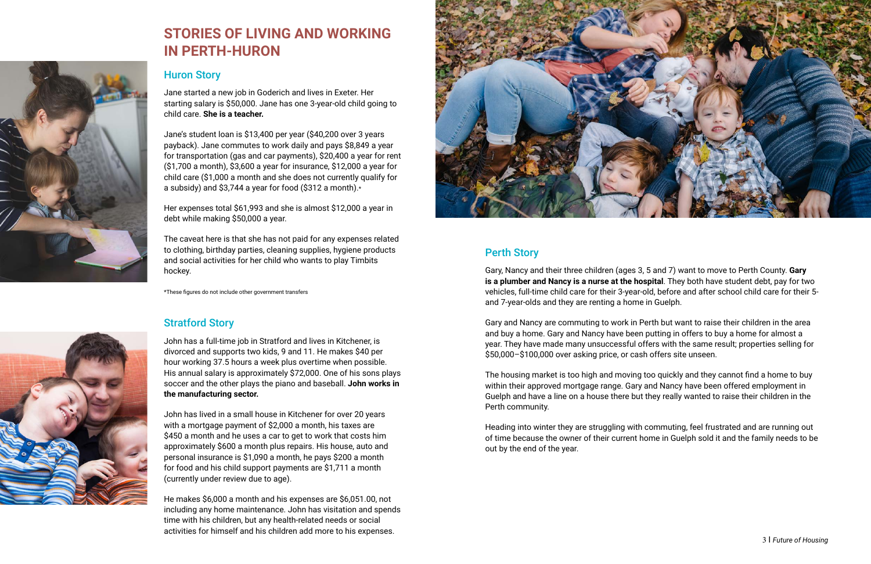

# **STORIES OF LIVING AND WORKING IN PERTH-HURON**

### Huron Story

Jane started a new job in Goderich and lives in Exeter. Her starting salary is \$50,000. Jane has one 3-year-old child going to child care. **She is a teacher.**

Jane's student loan is \$13,400 per year (\$40,200 over 3 years payback). Jane commutes to work daily and pays \$8,849 a year for transportation (gas and car payments), \$20,400 a year for rent (\$1,700 a month), \$3,600 a year for insurance, \$12,000 a year for child care (\$1,000 a month and she does not currently qualify for a subsidy) and \$3,744 a year for food (\$312 a month).\*

Her expenses total \$61,993 and she is almost \$12,000 a year in debt while making \$50,000 a year.

The caveat here is that she has not paid for any expenses related to clothing, birthday parties, cleaning supplies, hygiene products and social activities for her child who wants to play Timbits hockey.

\*These figures do not include other government transfers

### Stratford Story

John has a full-time job in Stratford and lives in Kitchener, is divorced and supports two kids, 9 and 11. He makes \$40 per hour working 37.5 hours a week plus overtime when possible. His annual salary is approximately \$72,000. One of his sons plays soccer and the other plays the piano and baseball. **John works in the manufacturing sector.**

John has lived in a small house in Kitchener for over 20 years with a mortgage payment of \$2,000 a month, his taxes are \$450 a month and he uses a car to get to work that costs him approximately \$600 a month plus repairs. His house, auto and personal insurance is \$1,090 a month, he pays \$200 a month for food and his child support payments are \$1,711 a month (currently under review due to age).

He makes \$6,000 a month and his expenses are \$6,051.00, not including any home maintenance. John has visitation and spends time with his children, but any health-related needs or social activities for himself and his children add more to his expenses.



### Perth Story

Gary, Nancy and their three children (ages 3, 5 and 7) want to move to Perth County. **Gary is a plumber and Nancy is a nurse at the hospital**. They both have student debt, pay for two vehicles, full-time child care for their 3-year-old, before and after school child care for their 5 and 7-year-olds and they are renting a home in Guelph.

Gary and Nancy are commuting to work in Perth but want to raise their children in the area and buy a home. Gary and Nancy have been putting in offers to buy a home for almost a year. They have made many unsuccessful offers with the same result; properties selling for \$50,000–\$100,000 over asking price, or cash offers site unseen.

The housing market is too high and moving too quickly and they cannot find a home to buy within their approved mortgage range. Gary and Nancy have been offered employment in Guelph and have a line on a house there but they really wanted to raise their children in the Perth community.

Heading into winter they are struggling with commuting, feel frustrated and are running out of time because the owner of their current home in Guelph sold it and the family needs to be out by the end of the year.

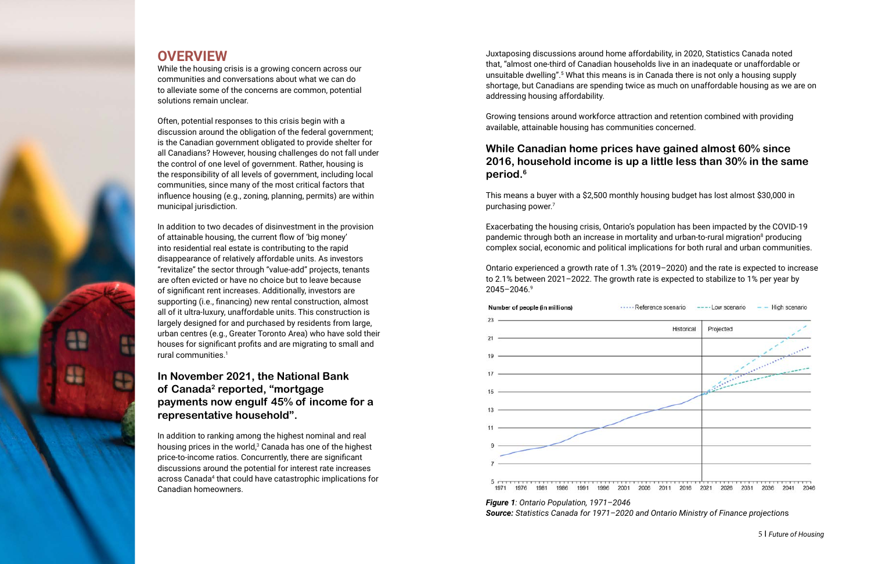

## **OVERVIEW**

While the housing crisis is a growing concern across our communities and conversations about what we can do to alleviate some of the concerns are common, potential solutions remain unclear.

Often, potential responses to this crisis begin with a discussion around the obligation of the federal government; is the Canadian government obligated to provide shelter for all Canadians? However, housing challenges do not fall under the control of one level of government. Rather, housing is the responsibility of all levels of government, including local communities, since many of the most critical factors that influence housing (e.g., zoning, planning, permits) are within municipal jurisdiction.

In addition to two decades of disinvestment in the provision of attainable housing, the current flow of 'big money' into residential real estate is contributing to the rapid disappearance of relatively affordable units. As investors "revitalize" the sector through "value-add" projects, tenants are often evicted or have no choice but to leave because of significant rent increases. Additionally, investors are supporting (i.e., financing) new rental construction, almost all of it ultra-luxury, unaffordable units. This construction is largely designed for and purchased by residents from large, urban centres (e.g., Greater Toronto Area) who have sold their houses for significant profits and are migrating to small and rural communities.1

### **In November 2021, the National Bank of Canada2 reported, "mortgage payments now engulf 45% of income for a representative household".**

In addition to ranking among the highest nominal and real housing prices in the world, $3$  Canada has one of the highest price-to-income ratios. Concurrently, there are significant discussions around the potential for interest rate increases across Canada<sup>4</sup> that could have catastrophic implications for Canadian homeowners.

Juxtaposing discussions around home affordability, in 2020, Statistics Canada noted that, "almost one-third of Canadian households live in an inadequate or unaffordable or unsuitable dwelling".<sup>5</sup> What this means is in Canada there is not only a housing supply shortage, but Canadians are spending twice as much on unaffordable housing as we are on addressing housing affordability.

Growing tensions around workforce attraction and retention combined with providing available, attainable housing has communities concerned.

### **While Canadian home prices have gained almost 60% since 2016, household income is up a little less than 30% in the same period.6**

This means a buyer with a \$2,500 monthly housing budget has lost almost \$30,000 in purchasing power.7

Exacerbating the housing crisis, Ontario's population has been impacted by the COVID-19 pandemic through both an increase in mortality and urban-to-rural migration<sup>8</sup> producing complex social, economic and political implications for both rural and urban communities.

Ontario experienced a growth rate of 1.3% (2019–2020) and the rate is expected to increase to 2.1% between 2021–2022. The growth rate is expected to stabilize to 1% per year by 2045–2046.9



*Figure 1: Ontario Population, 1971–2046 Source: Statistics Canada for 1971–2020 and Ontario Ministry of Finance projection*s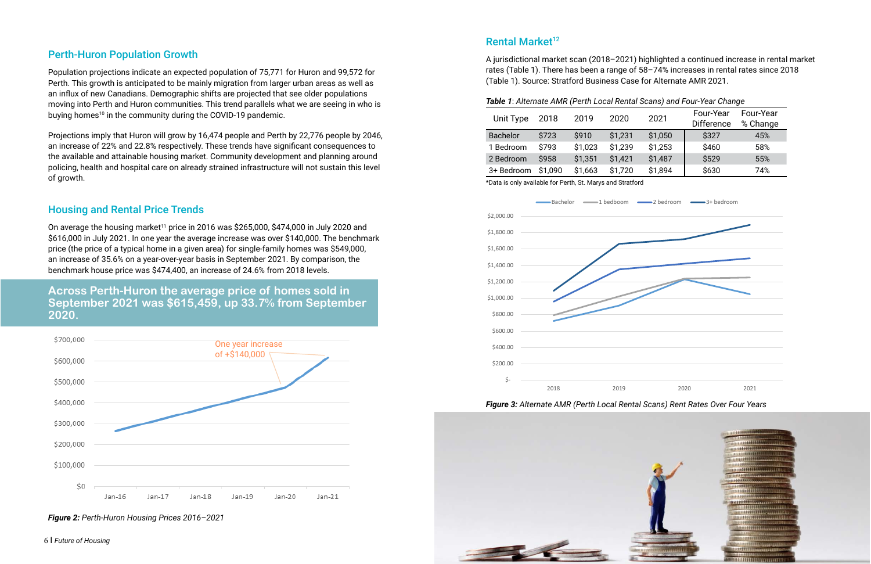A jurisdictional market scan (2018–2021) highlighted a continued increase in rental market rates (Table 1). There has been a range of 58–74% increases in rental rates since 2018 (Table 1). Source: Stratford Business Case for Alternate AMR 2021.

| Table 1: Alternate AMR (Perth Local Renta |  |
|-------------------------------------------|--|
|-------------------------------------------|--|

| <b>Unit Type</b> | 2018    | 2019    | 2020    |
|------------------|---------|---------|---------|
| <b>Bachelor</b>  | \$723   | \$910   | \$1,231 |
| 1 Bedroom        | \$793   | \$1,023 | \$1,239 |
| 2 Bedroom        | \$958   | \$1,351 | \$1,421 |
| 3+ Bedroom       | \$1,090 | \$1,663 | \$1,720 |
| $\mathbf{r}$     | .       |         | $\sim$  |

Population projections indicate an expected population of 75,771 for Huron and 99,572 for Perth. This growth is anticipated to be mainly migration from larger urban areas as well as an influx of new Canadians. Demographic shifts are projected that see older populations moving into Perth and Huron communities. This trend parallels what we are seeing in who is buying homes<sup>10</sup> in the community during the COVID-19 pandemic.

![](_page_3_Figure_15.jpeg)

![](_page_3_Picture_17.jpeg)

### Perth-Huron Population Growth

On average the housing market<sup>11</sup> price in 2016 was \$265,000, \$474,000 in July 2020 and \$616,000 in July 2021. In one year the average increase was over \$140,000. The benchmark price (the price of a typical home in a given area) for single-family homes was \$549,000, an increase of 35.6% on a year-over-year basis in September 2021. By comparison, the benchmark house price was \$474,400, an increase of 24.6% from 2018 levels.

![](_page_3_Figure_14.jpeg)

Projections imply that Huron will grow by 16,474 people and Perth by 22,776 people by 2046, an increase of 22% and 22.8% respectively. These trends have significant consequences to the available and attainable housing market. Community development and planning around policing, health and hospital care on already strained infrastructure will not sustain this level of growth.

### Housing and Rental Price Trends

**Across Perth-Huron the average price of homes sold in September 2021 was \$615,459, up 33.7% from September 2020.**

*Figure 2: Perth-Huron Housing Prices 2016–2021*

### Rental Market<sup>12</sup>

![](_page_3_Figure_6.jpeg)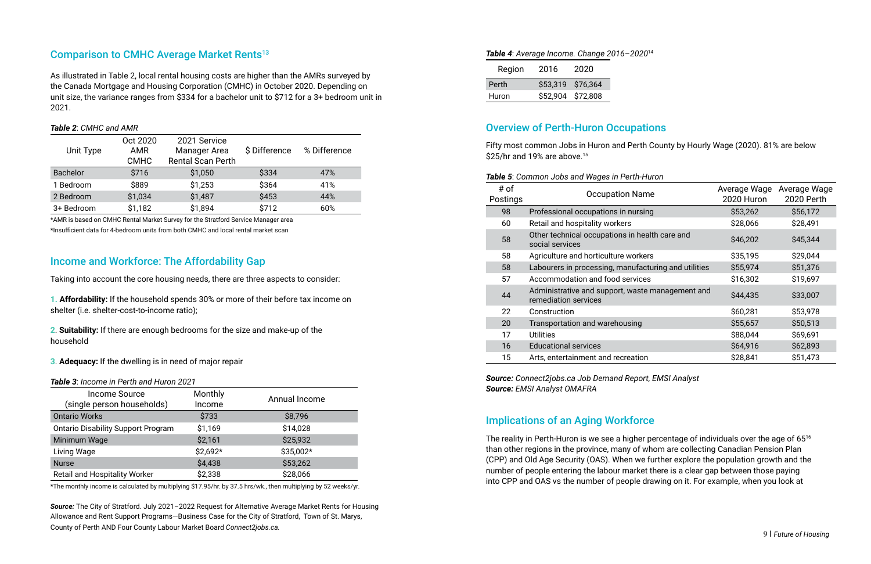### Comparison to CMHC Average Market Rents<sup>13</sup>

As illustrated in Table 2, local rental housing costs are higher than the AMRs surveyed by the Canada Mortgage and Housing Corporation (CMHC) in October 2020. Depending on unit size, the variance ranges from \$334 for a bachelor unit to \$712 for a 3+ bedroom unit in 2021.

### *Table 2*: *CMHC and AMR*

| Unit Type       | Oct 2020<br><b>AMR</b><br><b>CMHC</b> | 2021 Service<br>Manager Area<br><b>Rental Scan Perth</b> | \$ Difference | % Difference |
|-----------------|---------------------------------------|----------------------------------------------------------|---------------|--------------|
| <b>Bachelor</b> | \$716                                 | \$1,050                                                  | \$334         | 47%          |
| 1 Bedroom       | \$889                                 | \$1,253                                                  | \$364         | 41%          |
| 2 Bedroom       | \$1,034                               | \$1,487                                                  | \$453         | 44%          |
| 3+ Bedroom      | \$1,182                               | \$1,894                                                  | \$712         | 60%          |

\*AMR is based on CMHC Rental Market Survey for the Stratford Service Manager area

\*Insufficient data for 4-bedroom units from both CMHC and local rental market scan

### Income and Workforce: The Affordability Gap

Taking into account the core housing needs, there are three aspects to consider:

**1. Affordability:** If the household spends 30% or more of their before tax income on shelter (i.e. shelter-cost-to-income ratio);

Fifty most common Jobs in Huron and Perth County by Hourly Wage (2020). 81% are below \$25/hr and 19% are above.<sup>15</sup>

**2**. **Suitability:** If there are enough bedrooms for the size and make-up of the household

### **3**. **Adequacy:** If the dwelling is in need of major repair

*Table 3*: *Income in Perth and Huron 2021*

| <b>Income Source</b><br>(single person households) | Monthly<br>Income | Annual Income |
|----------------------------------------------------|-------------------|---------------|
| <b>Ontario Works</b>                               | \$733             | \$8,796       |
| <b>Ontario Disability Support Program</b>          | \$1,169           | \$14,028      |
| Minimum Wage                                       | \$2,161           | \$25,932      |
| Living Wage                                        | \$2,692*          | \$35,002*     |
| <b>Nurse</b>                                       | \$4,438           | \$53,262      |
| <b>Retail and Hospitality Worker</b>               | \$2,338           | \$28,066      |

\*The monthly income is calculated by multiplying \$17.95/hr. by 37.5 hrs/wk., then multiplying by 52 weeks/yr.

*Source:* The City of Stratford. July 2021–2022 Request for Alternative Average Market Rents for Housing Allowance and Rent Support Programs—Business Case for the City of Stratford, Town of St. Marys, County of Perth AND Four County Labour Market Board *Connect2jobs.ca.*

The reality in Perth-Huron is we see a higher percentage of individuals over the age of 65<sup>16</sup> than other regions in the province, many of whom are collecting Canadian Pension Plan (CPP) and Old Age Security (OAS). When we further explore the population growth and the number of people entering the labour market there is a clear gap between those paying into CPP and OAS vs the number of people drawing on it. For example, when you look at

#### *Table 4*: *Average Income. Change 2016–2020*<sup>14</sup>

| Region       | 2016              | 2020 |
|--------------|-------------------|------|
| <b>Perth</b> | \$53,319 \$76,364 |      |
| Huron        | \$52,904 \$72,808 |      |

### Overview of Perth-Huron Occupations

#### *Table 5*: *Common Jobs and Wages in Perth-Huron*

| # of<br>Postings | <b>Occupation Name</b>                                                   | Average Wage<br>2020 Huron | Average Wage<br><b>2020 Perth</b> |
|------------------|--------------------------------------------------------------------------|----------------------------|-----------------------------------|
| 98               | Professional occupations in nursing                                      | \$53,262                   | \$56,172                          |
| 60               | Retail and hospitality workers                                           | \$28,066                   | \$28,491                          |
| 58               | Other technical occupations in health care and<br>social services        | \$46,202                   | \$45,344                          |
| 58               | Agriculture and horticulture workers                                     | \$35,195                   | \$29,044                          |
| 58               | Labourers in processing, manufacturing and utilities                     | \$55,974                   | \$51,376                          |
| 57               | Accommodation and food services                                          | \$16,302                   | \$19,697                          |
| 44               | Administrative and support, waste management and<br>remediation services | \$44,435                   | \$33,007                          |
| 22               | Construction                                                             | \$60,281                   | \$53,978                          |
| 20               | Transportation and warehousing                                           | \$55,657                   | \$50,513                          |
| 17               | <b>Utilities</b>                                                         | \$88,044                   | \$69,691                          |
| 16               | <b>Educational services</b>                                              | \$64,916                   | \$62,893                          |
| 15               | Arts, entertainment and recreation                                       | \$28,841                   | \$51,473                          |

*Source: Connect2jobs.ca Job Demand Report, EMSI Analyst Source: EMSI Analyst OMAFRA*

### Implications of an Aging Workforce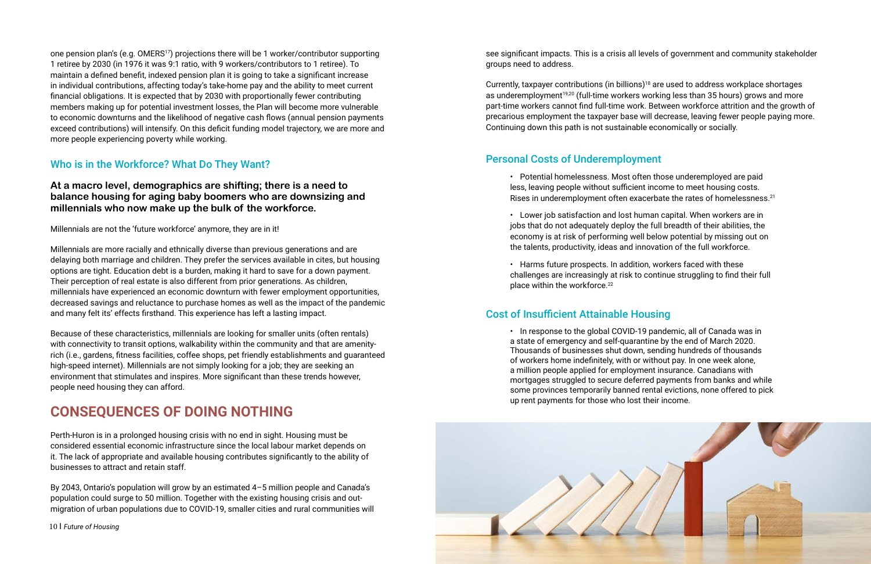one pension plan's (e.g.  $OMERS<sup>17</sup>$ ) projections there will be 1 worker/contributor supporting 1 retiree by 2030 (in 1976 it was 9:1 ratio, with 9 workers/contributors to 1 retiree). To maintain a defined benefit, indexed pension plan it is going to take a significant increase in individual contributions, affecting today's take-home pay and the ability to meet current financial obligations. It is expected that by 2030 with proportionally fewer contributing members making up for potential investment losses, the Plan will become more vulnerable to economic downturns and the likelihood of negative cash flows (annual pension payments exceed contributions) will intensify. On this deficit funding model trajectory, we are more and more people experiencing poverty while working.

### Who is in the Workforce? What Do They Want?

### **At a macro level, demographics are shifting; there is a need to balance housing for aging baby boomers who are downsizing and millennials who now make up the bulk of the workforce.**

Millennials are not the 'future workforce' anymore, they are in it!

Millennials are more racially and ethnically diverse than previous generations and are delaying both marriage and children. They prefer the services available in cites, but housing options are tight. Education debt is a burden, making it hard to save for a down payment. Their perception of real estate is also different from prior generations. As children, millennials have experienced an economic downturn with fewer employment opportunities, decreased savings and reluctance to purchase homes as well as the impact of the pandemic and many felt its' effects firsthand. This experience has left a lasting impact.

Currently, taxpayer contributions (in billions)<sup>18</sup> are used to address workplace shortages as underemployment<sup>19,20</sup> (full-time workers working less than 35 hours) grows and more part-time workers cannot find full-time work. Between workforce attrition and the growth of precarious employment the taxpayer base will decrease, leaving fewer people paying more. Continuing down this path is not sustainable economically or socially.

• Potential homelessness. Most often those underemployed are paid less, leaving people without sufficient income to meet housing costs. Rises in underemployment often exacerbate the rates of homelessness.<sup>21</sup>

• Harms future prospects. In addition, workers faced with these challenges are increasingly at risk to continue struggling to find their full place within the workforce.<sup>22</sup>

Because of these characteristics, millennials are looking for smaller units (often rentals) with connectivity to transit options, walkability within the community and that are amenityrich (i.e., gardens, fitness facilities, coffee shops, pet friendly establishments and guaranteed high-speed internet). Millennials are not simply looking for a job; they are seeking an environment that stimulates and inspires. More significant than these trends however, people need housing they can afford.

# **CONSEQUENCES OF DOING NOTHING**

Perth-Huron is in a prolonged housing crisis with no end in sight. Housing must be considered essential economic infrastructure since the local labour market depends on it. The lack of appropriate and available housing contributes significantly to the ability of businesses to attract and retain staff.

By 2043, Ontario's population will grow by an estimated 4–5 million people and Canada's population could surge to 50 million. Together with the existing housing crisis and outmigration of urban populations due to COVID-19, smaller cities and rural communities will see significant impacts. This is a crisis all levels of government and community stakeholder groups need to address.

### Personal Costs of Underemployment

• Lower job satisfaction and lost human capital. When workers are in jobs that do not adequately deploy the full breadth of their abilities, the economy is at risk of performing well below potential by missing out on the talents, productivity, ideas and innovation of the full workforce.

## Cost of Insufficient Attainable Housing

• In response to the global COVID-19 pandemic, all of Canada was in a state of emergency and self-quarantine by the end of March 2020. Thousands of businesses shut down, sending hundreds of thousands of workers home indefinitely, with or without pay. In one week alone, a million people applied for employment insurance. Canadians with mortgages struggled to secure deferred payments from banks and while some provinces temporarily banned rental evictions, none offered to pick up rent payments for those who lost their income.

![](_page_5_Picture_18.jpeg)

10 І *Future of Housing*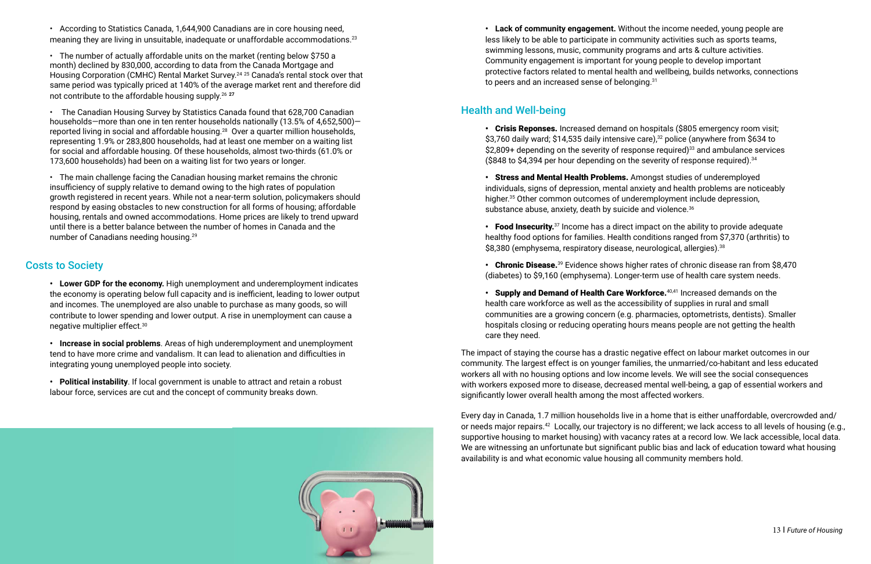### Health and Well-being

- Crisis Reponses. Increased demand on hospitals (\$805 emergency room visit; \$3,760 daily ward; \$14,535 daily intensive care),<sup>32</sup> police (anywhere from \$634 to  $$2,809+$  depending on the severity of response required)<sup>33</sup> and ambulance services (\$848 to \$4,394 per hour depending on the severity of response required).34
- Stress and Mental Health Problems. Amongst studies of underemployed individuals, signs of depression, mental anxiety and health problems are noticeably higher.<sup>35</sup> Other common outcomes of underemployment include depression, substance abuse, anxiety, death by suicide and violence.<sup>36</sup>
- Food Insecurity.<sup>37</sup> Income has a direct impact on the ability to provide adequate healthy food options for families. Health conditions ranged from \$7,370 (arthritis) to \$8,380 (emphysema, respiratory disease, neurological, allergies).<sup>38</sup>
- (diabetes) to \$9,160 (emphysema). Longer-term use of health care system needs.
- Supply and Demand of Health Care Workforce.<sup>40,41</sup> Increased demands on the health care workforce as well as the accessibility of supplies in rural and small hospitals closing or reducing operating hours means people are not getting the health care they need.

• According to Statistics Canada, 1,644,900 Canadians are in core housing need, meaning they are living in unsuitable, inadequate or unaffordable accommodations.<sup>23</sup>

communities are a growing concern (e.g. pharmacies, optometrists, dentists). Smaller

The impact of staying the course has a drastic negative effect on labour market outcomes in our community. The largest effect is on younger families, the unmarried/co-habitant and less educated workers all with no housing options and low income levels. We will see the social consequences with workers exposed more to disease, decreased mental well-being, a gap of essential workers and significantly lower overall health among the most affected workers.

Every day in Canada, 1.7 million households live in a home that is either unaffordable, overcrowded and/ or needs major repairs.42 Locally, our trajectory is no different; we lack access to all levels of housing (e.g., supportive housing to market housing) with vacancy rates at a record low. We lack accessible, local data. We are witnessing an unfortunate but significant public bias and lack of education toward what housing availability is and what economic value housing all community members hold.

• Chronic Disease.<sup>39</sup> Evidence shows higher rates of chronic disease ran from \$8,470

• The number of actually affordable units on the market (renting below \$750 a month) declined by 830,000, according to data from the Canada Mortgage and Housing Corporation (CMHC) Rental Market Survey.<sup>24 25</sup> Canada's rental stock over that same period was typically priced at 140% of the average market rent and therefore did not contribute to the affordable housing supply.26 **<sup>27</sup>**

• The Canadian Housing Survey by Statistics Canada found that 628,700 Canadian households—more than one in ten renter households nationally (13.5% of 4,652,500) reported living in social and affordable housing.<sup>28</sup> Over a quarter million households, representing 1.9% or 283,800 households, had at least one member on a waiting list for social and affordable housing. Of these households, almost two-thirds (61.0% or 173,600 households) had been on a waiting list for two years or longer.

• The main challenge facing the Canadian housing market remains the chronic insufficiency of supply relative to demand owing to the high rates of population growth registered in recent years. While not a near-term solution, policymakers should respond by easing obstacles to new construction for all forms of housing; affordable housing, rentals and owned accommodations. Home prices are likely to trend upward until there is a better balance between the number of homes in Canada and the number of Canadians needing housing.29

### Costs to Society

**• Lower GDP for the economy.** High unemployment and underemployment indicates the economy is operating below full capacity and is inefficient, leading to lower output and incomes. The unemployed are also unable to purchase as many goods, so will contribute to lower spending and lower output. A rise in unemployment can cause a negative multiplier effect.30

**• Increase in social problems**. Areas of high underemployment and unemployment tend to have more crime and vandalism. It can lead to alienation and difficulties in integrating young unemployed people into society.

**• Political instability**. If local government is unable to attract and retain a robust labour force, services are cut and the concept of community breaks down.

![](_page_6_Picture_8.jpeg)

**• Lack of community engagement.** Without the income needed, young people are less likely to be able to participate in community activities such as sports teams, swimming lessons, music, community programs and arts & culture activities. Community engagement is important for young people to develop important protective factors related to mental health and wellbeing, builds networks, connections to peers and an increased sense of belonging.<sup>31</sup>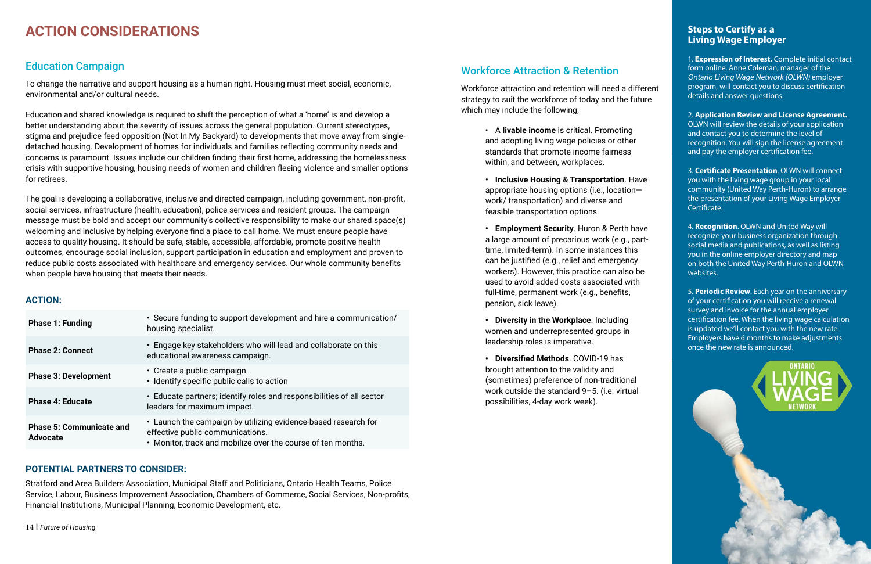# **ACTION CONSIDERATIONS**

### Education Campaign

To change the narrative and support housing as a human right. Housing must meet social, economic, environmental and/or cultural needs.

Education and shared knowledge is required to shift the perception of what a 'home' is and develop a better understanding about the severity of issues across the general population. Current stereotypes, stigma and prejudice feed opposition (Not In My Backyard) to developments that move away from singledetached housing. Development of homes for individuals and families reflecting community needs and concerns is paramount. Issues include our children finding their first home, addressing the homelessness crisis with supportive housing, housing needs of women and children fleeing violence and smaller options for retirees.

The goal is developing a collaborative, inclusive and directed campaign, including government, non-profit, social services, infrastructure (health, education), police services and resident groups. The campaign message must be bold and accept our community's collective responsibility to make our shared space(s) welcoming and inclusive by helping everyone find a place to call home. We must ensure people have access to quality housing. It should be safe, stable, accessible, affordable, promote positive health outcomes, encourage social inclusion, support participation in education and employment and proven to reduce public costs associated with healthcare and emergency services. Our whole community benefits when people have housing that meets their needs.

### **ACTION:**

| <b>Phase 1: Funding</b>                            | • Secure funding to support development and hire a communication/<br>housing specialist.                                                                           |
|----------------------------------------------------|--------------------------------------------------------------------------------------------------------------------------------------------------------------------|
| <b>Phase 2: Connect</b>                            | • Engage key stakeholders who will lead and collaborate on this<br>educational awareness campaign.                                                                 |
| <b>Phase 3: Development</b>                        | $\cdot$ Create a public campaign.<br>• Identify specific public calls to action                                                                                    |
| <b>Phase 4: Educate</b>                            | • Educate partners; identify roles and responsibilities of all sector<br>leaders for maximum impact.                                                               |
| <b>Phase 5: Communicate and</b><br><b>Advocate</b> | • Launch the campaign by utilizing evidence-based research for<br>effective public communications.<br>• Monitor, track and mobilize over the course of ten months. |

### **POTENTIAL PARTNERS TO CONSIDER:**

Stratford and Area Builders Association, Municipal Staff and Politicians, Ontario Health Teams, Police Service, Labour, Business Improvement Association, Chambers of Commerce, Social Services, Non-profits, Financial Institutions, Municipal Planning, Economic Development, etc.

### Workforce Attraction & Retention

Workforce attraction and retention will need a different strategy to suit the workforce of today and the future which may include the following;

- A **livable income** is critical. Promoting and adopting living wage policies or other standards that promote income fairness within, and between, workplaces.
- **• Inclusive Housing & Transportation**. Have appropriate housing options (i.e., location work/ transportation) and diverse and feasible transportation options.
- **• Employment Security**. Huron & Perth have a large amount of precarious work (e.g., parttime, limited-term). In some instances this can be justified (e.g., relief and emergency workers). However, this practice can also be used to avoid added costs associated with full-time, permanent work (e.g., benefits, pension, sick leave).
- **• Diversity in the Workplace**. Including women and underrepresented groups in leadership roles is imperative.
- **• Diversified Methods**. COVID-19 has brought attention to the validity and (sometimes) preference of non-traditional work outside the standard 9–5. (i.e. virtual possibilities, 4-day work week).

### **Steps to Certify as a Living Wage Employer**

1. **Expression of Interest.** Complete initial contact form online. Anne Coleman, manager of the Ontario Living Wage Network (OLWN) employer program, will contact you to discuss certification details and answer questions.

2. **Application Review and License Agreement.** OLWN will review the details of your application and contact you to determine the level of recognition. You will sign the license agreement and pay the employer certification fee.

3. **Certificate Presentation**. OLWN will connect you with the living wage group in your local community (United Way Perth-Huron) to arrange the presentation of your Living Wage Employer Certificate.

4. **Recognition**. OLWN and United Way will recognize your business organization through social media and publications, as well as listing you in the online employer directory and map on both the United Way Perth-Huron and OLWN websites.

5. **Periodic Review**. Each year on the anniversary of your certification you will receive a renewal survey and invoice for the annual employer certification fee. When the living wage calculation is updated we'll contact you with the new rate. Employers have 6 months to make adjustments once the new rate is announced.

**DNTADIO**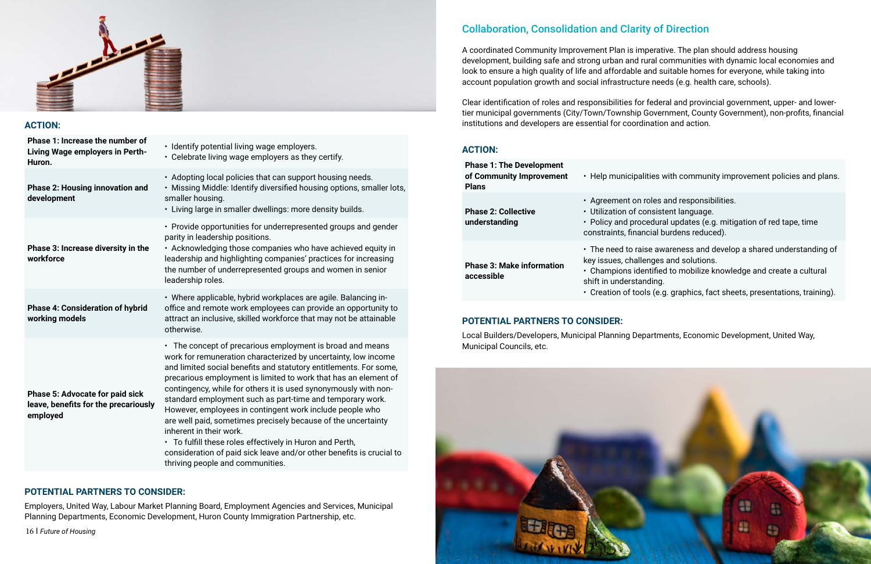![](_page_8_Picture_0.jpeg)

### **ACTION:**

**Phase 1: Increase the number of Living Wage employers in Perth-Huron.**

• Identify potential living wage employers.

**Phase 2: Housing innovation and development**

**Phase 3: Increase diversity in the workforce**

• Celebrate living wage employers as they certify. • Adopting local policies that can support housing needs. • Missing Middle: Identify diversified housing options, smaller lots, smaller housing. • Living large in smaller dwellings: more density builds. • Provide opportunities for underrepresented groups and gender parity in leadership positions. • Acknowledging those companies who have achieved equity in leadership and highlighting companies' practices for increasing the number of underrepresented groups and women in senior leadership roles. • Where applicable, hybrid workplaces are agile. Balancing in-

### **Phase 4: Consideration of hybrid working models**

office and remote work employees can provide an opportunity to attract an inclusive, skilled workforce that may not be attainable otherwise.

**Phase 5: Advocate for paid sick leave, benefits for the precariously employed**

• The concept of precarious employment is broad and means work for remuneration characterized by uncertainty, low income and limited social benefits and statutory entitlements. For some, precarious employment is limited to work that has an element of contingency, while for others it is used synonymously with nonstandard employment such as part-time and temporary work. However, employees in contingent work include people who are well paid, sometimes precisely because of the uncertainty inherent in their work.

• To fulfill these roles effectively in Huron and Perth, consideration of paid sick leave and/or other benefits is crucial to thriving people and communities.

### **POTENTIAL PARTNERS TO CONSIDER:**

Employers, United Way, Labour Market Planning Board, Employment Agencies and Services, Municipal Planning Departments, Economic Development, Huron County Immigration Partnership, etc.

# Collaboration, Consolidation and Clarity of Direction

A coordinated Community Improvement Plan is imperative. The plan should address housing development, building safe and strong urban and rural communities with dynamic local economies and look to ensure a high quality of life and affordable and suitable homes for everyone, while taking into account population growth and social infrastructure needs (e.g. health care, schools).

Clear identification of roles and responsibilities for federal and provincial government, upper- and lowertier municipal governments (City/Town/Township Government, County Government), non-profits, financial institutions and developers are essential for coordination and action.

### **ACTION:**

| <b>Phase 1: The Development</b><br>of Community Improvement<br><b>Plans</b> | • Help municip                                                                                      |
|-----------------------------------------------------------------------------|-----------------------------------------------------------------------------------------------------|
| <b>Phase 2: Collective</b><br>understanding                                 | · Agreement or<br>• Utilization of<br>• Policy and pro<br>constraints, fina                         |
| <b>Phase 3: Make information</b><br>accessible                              | $\cdot$ The need to ra<br>key issues, cha<br>• Champions io<br>shift in underst<br>• Creation of to |
| <b>POTENTIAL PARTNERS TO CONSIDER:</b>                                      |                                                                                                     |

Local Builders/Developers, Municipal Planning Departments, Economic Development, United Way, Municipal Councils, etc.

![](_page_8_Picture_20.jpeg)

alities with community improvement policies and plans.

- n roles and responsibilities.
- consistent language.
- ocedural updates (e.g. mitigation of red tape, time ancial burdens reduced).
- aise awareness and develop a shared understanding of llenges and solutions.
- dentified to mobilize knowledge and create a cultural anding.
- ools (e.g. graphics, fact sheets, presentations, training).

16 І *Future of Housing*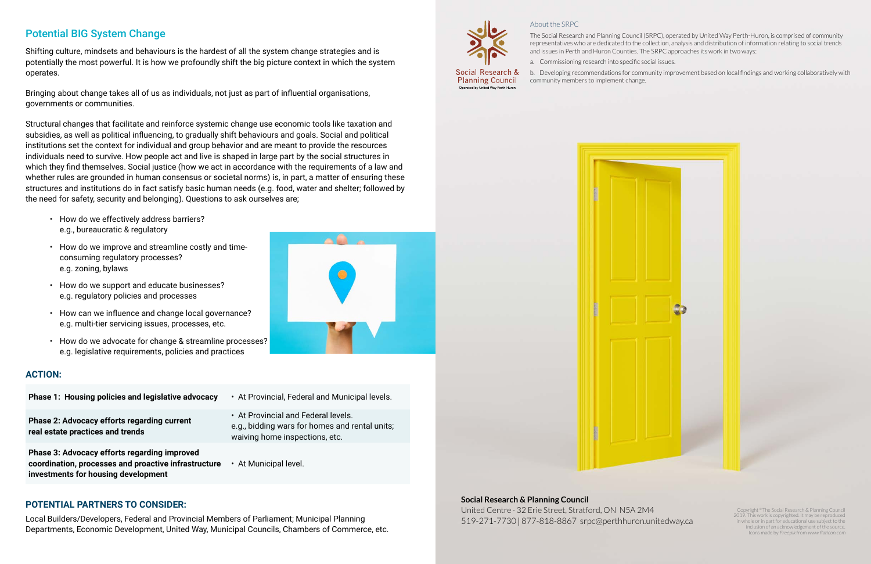### About the SRPC

The Social Research and Planning Council (SRPC), operated by United Way Perth-Huron, is comprised of community representatives who are dedicated to the collection, analysis and distribution of information relating to social trends and issues in Perth and Huron Counties. The SRPC approaches its work in two ways:

a. Commissioning research into specific social issues.

b. Developing recommendations for community improvement based on local findings and working collaboratively with community members to implement change.

![](_page_9_Figure_23.jpeg)

Copyright © The Social Research & Planning Council 2019. This work is copyrighted. It may be reproduced in whole or in part for educational use subject to the inclusion of an acknowledgement of the source. Icons made by Freepik from www.flaticon.com

#### **Social Research & Planning Council**

United Centre · 32 Erie Street, Stratford, ON N5A 2M4 519-271-7730 | 877-818-8867 srpc@perthhuron.unitedway.ca

![](_page_9_Picture_26.jpeg)

### Potential BIG System Change

Shifting culture, mindsets and behaviours is the hardest of all the system change strategies and is potentially the most powerful. It is how we profoundly shift the big picture context in which the system operates.

Bringing about change takes all of us as individuals, not just as part of influential organisations, governments or communities.

Structural changes that facilitate and reinforce systemic change use economic tools like taxation and subsidies, as well as political influencing, to gradually shift behaviours and goals. Social and political institutions set the context for individual and group behavior and are meant to provide the resources individuals need to survive. How people act and live is shaped in large part by the social structures in which they find themselves. Social justice (how we act in accordance with the requirements of a law and whether rules are grounded in human consensus or societal norms) is, in part, a matter of ensuring these structures and institutions do in fact satisfy basic human needs (e.g. food, water and shelter; followed by the need for safety, security and belonging). Questions to ask ourselves are;

- How do we effectively address barriers? e.g., bureaucratic & regulatory
- How do we improve and streamline costly and timeconsuming regulatory processes? e.g. zoning, bylaws
- How do we support and educate businesses? e.g. regulatory policies and processes
- How can we influence and change local governance? e.g. multi-tier servicing issues, processes, etc.
- How do we advocate for change & streamline processes? e.g. legislative requirements, policies and practices

### **ACTION:**

- **Phase 1: Housing policies and legislative advocacy**  At Provincial, Federal and Municipal levels.
- **Phase 2: Advocacy efforts regarding current real estate practices and trends**
- 
- At Provincial and Federal levels. e.g., bidding wars for homes and rental units; waiving home inspections, etc.

**Phase 3: Advocacy efforts regarding improved coordination, processes and proactive infrastructure investments for housing development**

![](_page_9_Picture_15.jpeg)

### **POTENTIAL PARTNERS TO CONSIDER:**

Local Builders/Developers, Federal and Provincial Members of Parliament; Municipal Planning Departments, Economic Development, United Way, Municipal Councils, Chambers of Commerce, etc.

![](_page_9_Picture_18.jpeg)

Social Research & **Planning Council** Operated by United Way Perth-Huror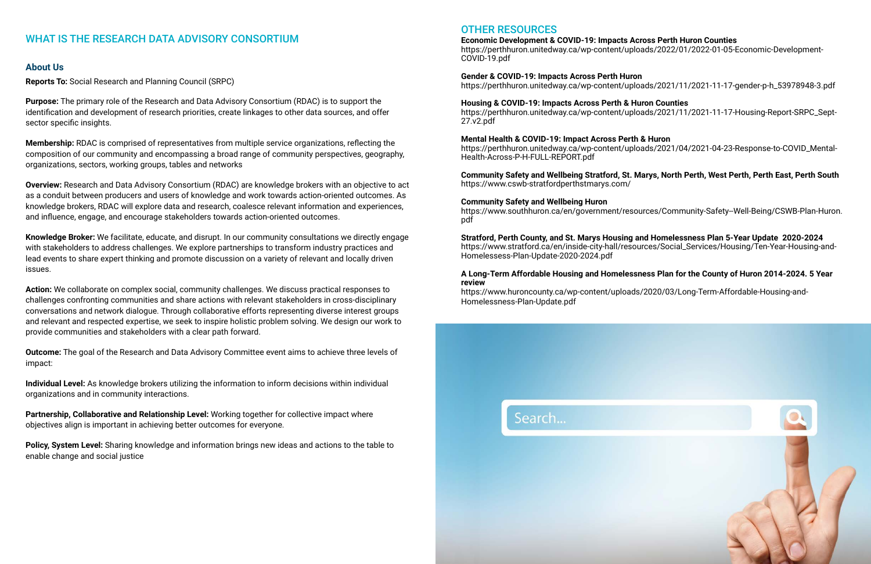### WHAT IS THE RESEARCH DATA ADVISORY CONSORTIUM

### **About Us**

**Reports To:** Social Research and Planning Council (SRPC)

**Purpose:** The primary role of the Research and Data Advisory Consortium (RDAC) is to support the identification and development of research priorities, create linkages to other data sources, and offer sector specific insights.

**Membership:** RDAC is comprised of representatives from multiple service organizations, reflecting the composition of our community and encompassing a broad range of community perspectives, geography, organizations, sectors, working groups, tables and networks

**Overview:** Research and Data Advisory Consortium (RDAC) are knowledge brokers with an objective to act as a conduit between producers and users of knowledge and work towards action-oriented outcomes. As knowledge brokers, RDAC will explore data and research, coalesce relevant information and experiences, and influence, engage, and encourage stakeholders towards action-oriented outcomes.

**Knowledge Broker:** We facilitate, educate, and disrupt. In our community consultations we directly engage with stakeholders to address challenges. We explore partnerships to transform industry practices and lead events to share expert thinking and promote discussion on a variety of relevant and locally driven issues.

**Action:** We collaborate on complex social, community challenges. We discuss practical responses to challenges confronting communities and share actions with relevant stakeholders in cross-disciplinary conversations and network dialogue. Through collaborative efforts representing diverse interest groups and relevant and respected expertise, we seek to inspire holistic problem solving. We design our work to provide communities and stakeholders with a clear path forward.

**Outcome:** The goal of the Research and Data Advisory Committee event aims to achieve three levels of impact:

**Individual Level:** As knowledge brokers utilizing the information to inform decisions within individual organizations and in community interactions.

**Partnership, Collaborative and Relationship Level:** Working together for collective impact where objectives align is important in achieving better outcomes for everyone.

**Policy, System Level:** Sharing knowledge and information brings new ideas and actions to the table to enable change and social justice

### OTHER RESOURCES

**Economic Development & COVID-19: Impacts Across Perth Huron Counties** https://perthhuron.unitedway.ca/wp-content/uploads/2022/01/2022-01-05-Economic-Development-COVID-19.pdf

**Gender & COVID-19: Impacts Across Perth Huron** https://perthhuron.unitedway.ca/wp-content/uploads/2021/11/2021-11-17-gender-p-h\_53978948-3.pdf

**Housing & COVID-19: Impacts Across Perth & Huron Counties** https://perthhuron.unitedway.ca/wp-content/uploads/2021/11/2021-11-17-Housing-Report-SRPC\_Sept-27.v2.pdf

**Mental Health & COVID-19: Impact Across Perth & Huron** https://perthhuron.unitedway.ca/wp-content/uploads/2021/04/2021-04-23-Response-to-COVID\_Mental-Health-Across-P-H-FULL-REPORT.pdf

### **Community Safety and Wellbeing Stratford, St. Marys, North Perth, West Perth, Perth East, Perth South**

![](_page_10_Picture_28.jpeg)

https://www.cswb-stratfordperthstmarys.com/

**Community Safety and Wellbeing Huron**  https://www.southhuron.ca/en/government/resources/Community-Safety--Well-Being/CSWB-Plan-Huron. pdf

**Stratford, Perth County, and St. Marys Housing and Homelessness Plan 5-Year Update 2020-2024** https://www.stratford.ca/en/inside-city-hall/resources/Social\_Services/Housing/Ten-Year-Housing-and-Homelessess-Plan-Update-2020-2024.pdf

### **A Long-Term Affordable Housing and Homelessness Plan for the County of Huron 2014-2024. 5 Year review**

https://www.huroncounty.ca/wp-content/uploads/2020/03/Long-Term-Affordable-Housing-and-Homelessness-Plan-Update.pdf

Search...